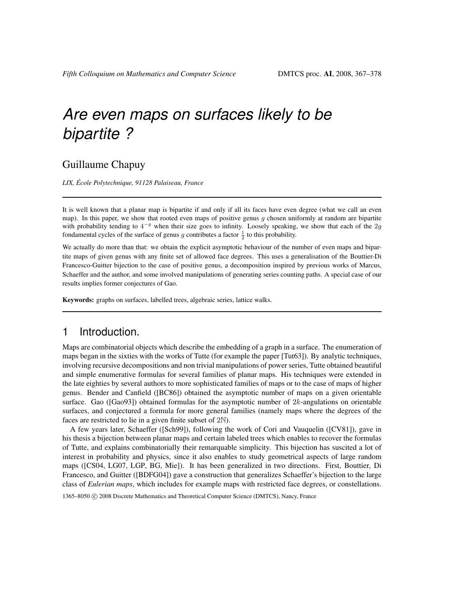### Guillaume Chapuy

LIX, École Polytechnique, 91128 Palaiseau, France

It is well known that a planar map is bipartite if and only if all its faces have even degree (what we call an even map). In this paper, we show that rooted even maps of positive genus  $g$  chosen uniformly at random are bipartite with probability tending to  $4^{-g}$  when their size goes to infinity. Loosely speaking, we show that each of the 2g fondamental cycles of the surface of genus g contributes a factor  $\frac{1}{2}$  to this probability.

We actually do more than that: we obtain the explicit asymptotic behaviour of the number of even maps and bipartite maps of given genus with any finite set of allowed face degrees. This uses a generalisation of the Bouttier-Di Francesco-Guitter bijection to the case of positive genus, a decomposition inspired by previous works of Marcus, Schaeffer and the author, and some involved manipulations of generating series counting paths. A special case of our results implies former conjectures of Gao.

Keywords: graphs on surfaces, labelled trees, algebraic series, lattice walks.

### 1 Introduction.

Maps are combinatorial objects which describe the embedding of a graph in a surface. The enumeration of maps began in the sixties with the works of Tutte (for example the paper [Tut63]). By analytic techniques, involving recursive decompositions and non trivial manipulations of power series, Tutte obtained beautiful and simple enumerative formulas for several families of planar maps. His techniques were extended in the late eighties by several authors to more sophisticated families of maps or to the case of maps of higher genus. Bender and Canfield ([BC86]) obtained the asymptotic number of maps on a given orientable surface. Gao ([Gao93]) obtained formulas for the asymptotic number of  $2k$ -angulations on orientable surfaces, and conjectured a formula for more general families (namely maps where the degrees of the faces are restricted to lie in a given finite subset of 2N).

A few years later, Schaeffer ([Sch99]), following the work of Cori and Vauquelin ([CV81]), gave in his thesis a bijection between planar maps and certain labeled trees which enables to recover the formulas of Tutte, and explains combinatorially their remarquable simplicity. This bijection has suscited a lot of interest in probability and physics, since it also enables to study geometrical aspects of large random maps ([CS04, LG07, LGP, BG, Mie]). It has been generalized in two directions. First, Bouttier, Di Francesco, and Guitter ([BDFG04]) gave a construction that generalizes Schaeffer's bijection to the large class of *Eulerian maps*, which includes for example maps with restricted face degrees, or constellations.

1365–8050 �c 2008 Discrete Mathematics and Theoretical Computer Science (DMTCS), Nancy, France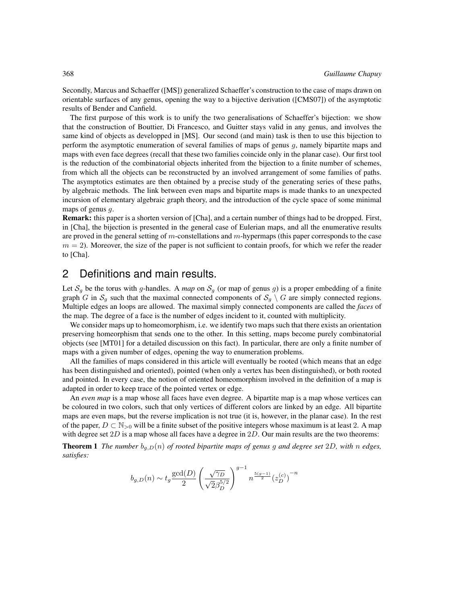Secondly, Marcus and Schaeffer ([MS]) generalized Schaeffer's construction to the case of maps drawn on orientable surfaces of any genus, opening the way to a bijective derivation ([CMS07]) of the asymptotic results of Bender and Canfield.

The first purpose of this work is to unify the two generalisations of Schaeffer's bijection: we show that the construction of Bouttier, Di Francesco, and Guitter stays valid in any genus, and involves the same kind of objects as developped in [MS]. Our second (and main) task is then to use this bijection to perform the asymptotic enumeration of several families of maps of genus g, namely bipartite maps and maps with even face degrees (recall that these two families coincide only in the planar case). Our first tool is the reduction of the combinatorial objects inherited from the bijection to a finite number of schemes, from which all the objects can be reconstructed by an involved arrangement of some families of paths. The asymptotics estimates are then obtained by a precise study of the generating series of these paths, by algebraic methods. The link between even maps and bipartite maps is made thanks to an unexpected incursion of elementary algebraic graph theory, and the introduction of the cycle space of some minimal maps of genus g.

Remark: this paper is a shorten version of [Cha], and a certain number of things had to be dropped. First, in [Cha], the bijection is presented in the general case of Eulerian maps, and all the enumerative results are proved in the general setting of m-constellations and m-hypermaps (this paper corresponds to the case  $m = 2$ ). Moreover, the size of the paper is not sufficient to contain proofs, for which we refer the reader to [Cha].

### 2 Definitions and main results.

Let  $S_g$  be the torus with g-handles. A map on  $S_g$  (or map of genus g) is a proper embedding of a finite graph G in  $S_g$  such that the maximal connected components of  $S_g \setminus G$  are simply connected regions. Multiple edges an loops are allowed. The maximal simply connected components are called the faces of the map. The degree of a face is the number of edges incident to it, counted with multiplicity.

We consider maps up to homeomorphism, i.e. we identify two maps such that there exists an orientation preserving homeorphism that sends one to the other. In this setting, maps become purely combinatorial objects (see [MT01] for a detailed discussion on this fact). In particular, there are only a finite number of maps with a given number of edges, opening the way to enumeration problems.

All the families of maps considered in this article will eventually be rooted (which means that an edge has been distinguished and oriented), pointed (when only a vertex has been distinguished), or both rooted and pointed. In every case, the notion of oriented homeomorphism involved in the definition of a map is adapted in order to keep trace of the pointed vertex or edge.

An even map is a map whose all faces have even degree. A bipartite map is a map whose vertices can be coloured in two colors, such that only vertices of different colors are linked by an edge. All bipartite maps are even maps, but the reverse implication is not true (it is, however, in the planar case). In the rest of the paper,  $D \subset \mathbb{N}_{>0}$  will be a finite subset of the positive integers whose maximum is at least 2. A map with degree set  $2D$  is a map whose all faces have a degree in  $2D$ . Our main results are the two theorems:

**Theorem 1** The number  $b_{q,D}(n)$  of rooted bipartite maps of genus g and degree set 2D, with n edges, satisfies:

$$
b_{g,D}(n) \sim t_g \frac{\text{gcd}(D)}{2} \left(\frac{\sqrt{\gamma_D}}{\sqrt{2}\beta_D^{5/2}}\right)^{g-1} n^{\frac{5(g-1)}{2}} (z_D^{(c)})^{-n}
$$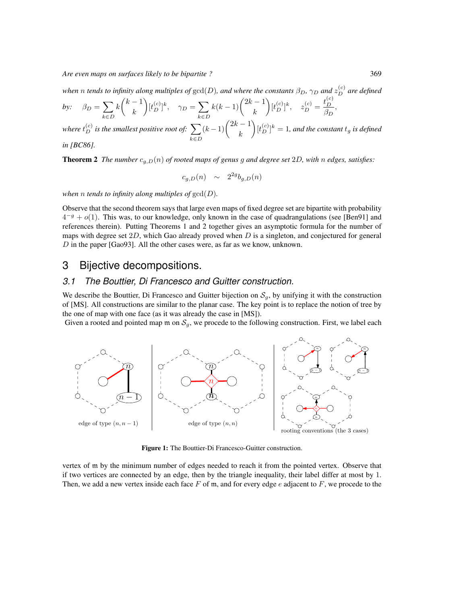when  $n$  tends to infinity along multiples of  $\gcd(D)$ , and where the constants  $\beta_D, \gamma_D$  and  $z_D^{(c)}$  are defined

$$
by: \quad \beta_D = \sum_{k \in D} k \binom{k-1}{k} [t_D^{(c)}]^k, \quad \gamma_D = \sum_{k \in D} k(k-1) \binom{2k-1}{k} [t_D^{(c)}]^k, \quad z_D^{(c)} = \frac{t_D^{(c)}}{\beta_D}
$$

where  $t_D^{(c)}$  is the smallest positive root of:  $\,\sum\,$ k∈D  $(k-1)\binom{2k-1}{k}$  $\left([t_D^{(c)}]^k=1\right)$ , and the constant  $t_g$  is defined in [BC86].

$$
u \, [D\text{COO}]
$$

**Theorem 2** The number  $c_{g,D}(n)$  of rooted maps of genus g and degree set 2D, with n edges, satisfies:

$$
c_{g,D}(n) \sim 2^{2g} b_{g,D}(n)
$$

when n tends to infinity along multiples of  $gcd(D)$ .

Observe that the second theorem says that large even maps of fixed degree set are bipartite with probability  $4^{-g} + o(1)$ . This was, to our knowledge, only known in the case of quadrangulations (see [Ben91] and references therein). Putting Theorems 1 and 2 together gives an asymptotic formula for the number of maps with degree set  $2D$ , which Gao already proved when D is a singleton, and conjectured for general D in the paper [Gao93]. All the other cases were, as far as we know, unknown.

## 3 Bijective decompositions.

#### 3.1 The Bouttier, Di Francesco and Guitter construction.

We describe the Bouttier, Di Francesco and Guitter bijection on  $S_q$ , by unifying it with the construction of [MS]. All constructions are similar to the planar case. The key point is to replace the notion of tree by the one of map with one face (as it was already the case in [MS]).

Given a rooted and pointed map  $m$  on  $S_g$ , we procede to the following construction. First, we label each



Figure 1: The Bouttier-Di Francesco-Guitter construction.

vertex of m by the minimum number of edges needed to reach it from the pointed vertex. Observe that if two vertices are connected by an edge, then by the triangle inequality, their label differ at most by 1. Then, we add a new vertex inside each face  $F$  of m, and for every edge e adjacent to  $F$ , we procede to the

,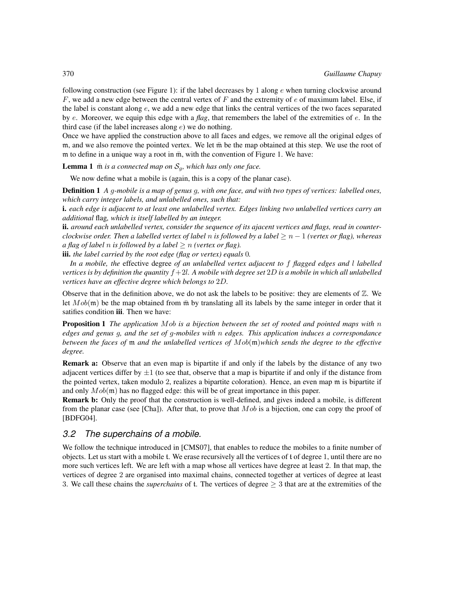following construction (see Figure 1): if the label decreases by 1 along  $e$  when turning clockwise around  $F$ , we add a new edge between the central vertex of  $F$  and the extremity of  $e$  of maximum label. Else, if the label is constant along e, we add a new edge that links the central vertices of the two faces separated by e. Moreover, we equip this edge with a flag, that remembers the label of the extremities of  $e$ . In the third case (if the label increases along  $e$ ) we do nothing.

Once we have applied the construction above to all faces and edges, we remove all the original edges of m, and we also remove the pointed vertex. We let  $\bar{m}$  be the map obtained at this step. We use the root of m to define in a unique way a root in  $\bar{m}$ , with the convention of Figure 1. We have:

**Lemma 1**  $\bar{m}$  is a connected map on  $S_q$ , which has only one face.

We now define what a mobile is (again, this is a copy of the planar case).

Definition 1 A g-mobile is a map of genus g, with one face, and with two types of vertices: labelled ones, which carry integer labels, and unlabelled ones, such that:

i. each edge is adjacent to at least one unlabelled vertex. Edges linking two unlabelled vertices carry an additional flag, which is itself labelled by an integer.

ii. around each unlabelled vertex, consider the sequence of its ajacent vertices and flags, read in counterclockwise order. Then a labelled vertex of label n is followed by a label  $\geq n-1$  (vertex or flag), whereas a flag of label n is followed by a label  $\geq n$  (vertex or flag).

iii. the label carried by the root edge (flag or vertex) equals 0.

In a mobile, the effective degree of an unlabelled vertex adjacent to f flagged edges and l labelled vertices is by definition the quantity  $f + 2l$ . A mobile with degree set 2D is a mobile in which all unlabelled vertices have an effective degree which belongs to 2D.

Observe that in the definition above, we do not ask the labels to be positive: they are elements of  $\mathbb{Z}$ . We let  $Mob(m)$  be the map obtained from  $\overline{m}$  by translating all its labels by the same integer in order that it satifies condition iii. Then we have:

**Proposition 1** The application Mob is a bijection between the set of rooted and pointed maps with  $n$ edges and genus g, and the set of g-mobiles with n edges. This application induces a correspondance between the faces of  $m$  and the unlabelled vertices of  $Mob(m)$  which sends the degree to the effective degree.

Remark a: Observe that an even map is bipartite if and only if the labels by the distance of any two adjacent vertices differ by  $\pm 1$  (to see that, observe that a map is bipartite if and only if the distance from the pointed vertex, taken modulo 2, realizes a bipartite coloration). Hence, an even map m is bipartite if and only  $Mob(\mathfrak{m})$  has no flagged edge: this will be of great importance in this paper.

Remark b: Only the proof that the construction is well-defined, and gives indeed a mobile, is different from the planar case (see [Cha]). After that, to prove that  $Mob$  is a bijection, one can copy the proof of [BDFG04].

#### 3.2 The superchains of a mobile.

We follow the technique introduced in [CMS07], that enables to reduce the mobiles to a finite number of objects. Let us start with a mobile t. We erase recursively all the vertices of t of degree 1, until there are no more such vertices left. We are left with a map whose all vertices have degree at least 2. In that map, the vertices of degree 2 are organised into maximal chains, connected together at vertices of degree at least 3. We call these chains the *superchains* of t. The vertices of degree  $\geq$  3 that are at the extremities of the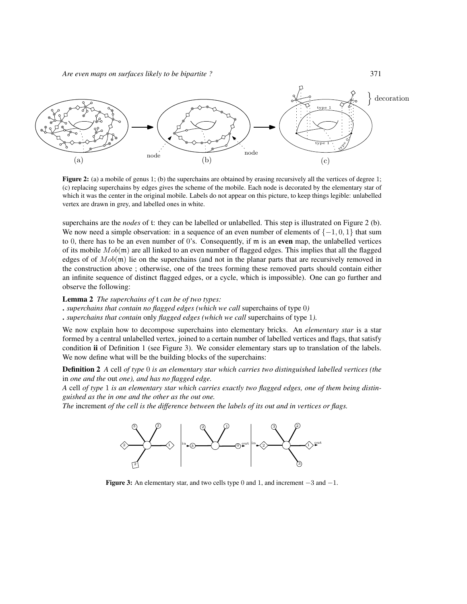

**Figure 2:** (a) a mobile of genus 1; (b) the superchains are obtained by erasing recursively all the vertices of degree 1; (c) replacing superchains by edges gives the scheme of the mobile. Each node is decorated by the elementary star of which it was the center in the original mobile. Labels do not appear on this picture, to keep things legible: unlabelled vertex are drawn in grey, and labelled ones in white.

superchains are the *nodes* of t: they can be labelled or unlabelled. This step is illustrated on Figure 2 (b). We now need a simple observation: in a sequence of an even number of elements of  $\{-1, 0, 1\}$  that sum to 0, there has to be an even number of 0's. Consequently, if  $m$  is an even map, the unlabelled vertices of its mobile  $Mob(m)$  are all linked to an even number of flagged edges. This implies that all the flagged edges of of  $Mob(\mathfrak{m})$  lie on the superchains (and not in the planar parts that are recursively removed in the construction above ; otherwise, one of the trees forming these removed parts should contain either an infinite sequence of distinct flagged edges, or a cycle, which is impossible). One can go further and observe the following:

#### Lemma 2 The superchains of t can be of two types:

. superchains that contain no flagged edges (which we call superchains of type 0)

. superchains that contain only flagged edges (which we call superchains of type 1).

We now explain how to decompose superchains into elementary bricks. An *elementary star* is a star formed by a central unlabelled vertex, joined to a certain number of labelled vertices and flags, that satisfy condition ii of Definition 1 (see Figure 3). We consider elementary stars up to translation of the labels. We now define what will be the building blocks of the superchains:

**Definition 2** A cell of type 0 is an elementary star which carries two distinguished labelled vertices (the in one and the out one), and has no flagged edge.

A cell of type 1 is an elementary star which carries exactly two flagged edges, one of them being distinguished as the in one and the other as the out one.

The increment of the cell is the difference between the labels of its out and in vertices or flags.



Figure 3: An elementary star, and two cells type 0 and 1, and increment  $-3$  and  $-1$ .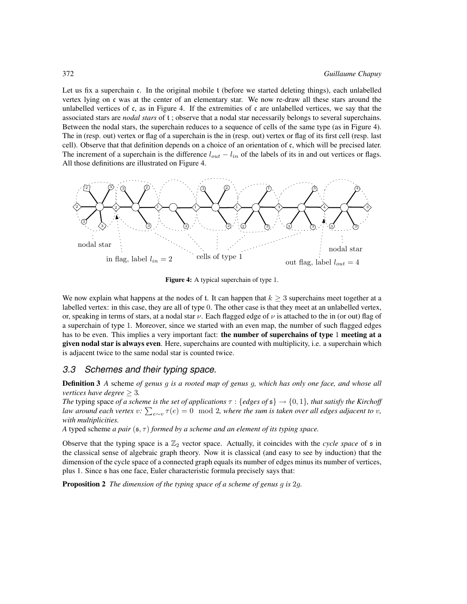Let us fix a superchain c. In the original mobile t (before we started deleting things), each unlabelled vertex lying on c was at the center of an elementary star. We now re-draw all these stars around the unlabelled vertices of c, as in Figure 4. If the extremities of c are unlabelled vertices, we say that the associated stars are *nodal stars* of t; observe that a nodal star necessarily belongs to several superchains. Between the nodal stars, the superchain reduces to a sequence of cells of the same type (as in Figure 4). The in (resp. out) vertex or flag of a superchain is the in (resp. out) vertex or flag of its first cell (resp. last cell). Observe that that definition depends on a choice of an orientation of c, which will be precised later. The increment of a superchain is the difference  $l_{out} - l_{in}$  of the labels of its in and out vertices or flags. All those definitions are illustrated on Figure 4.



Figure 4: A typical superchain of type 1.

We now explain what happens at the nodes of t. It can happen that  $k \geq 3$  superchains meet together at a labelled vertex: in this case, they are all of type 0. The other case is that they meet at an unlabelled vertex, or, speaking in terms of stars, at a nodal star  $\nu$ . Each flagged edge of  $\nu$  is attached to the in (or out) flag of a superchain of type 1. Moreover, since we started with an even map, the number of such flagged edges has to be even. This implies a very important fact: the number of superchains of type 1 meeting at a given nodal star is always even. Here, superchains are counted with multiplicity, i.e. a superchain which is adjacent twice to the same nodal star is counted twice.

#### 3.3 Schemes and their typing space.

**Definition 3** A scheme of genus g is a rooted map of genus g, which has only one face, and whose all *vertices have degree*  $\geq 3$ .

The typing space of a scheme is the set of applications  $\tau : \{ edges \space of \space s \} \rightarrow \{0, 1\}$ , that satisfy the Kirchoff law around each vertex  $v: \sum_{e\sim v}\tau(e)=0\mod 2$ , where the sum is taken over all edges adjacent to  $v$ , with multiplicities.

A typed scheme a pair  $(\mathfrak{s}, \tau)$  formed by a scheme and an element of its typing space.

Observe that the typing space is a  $\mathbb{Z}_2$  vector space. Actually, it coincides with the cycle space of  $\mathfrak s$  in the classical sense of algebraic graph theory. Now it is classical (and easy to see by induction) that the dimension of the cycle space of a connected graph equals its number of edges minus its number of vertices, plus 1. Since s has one face, Euler characteristic formula precisely says that:

**Proposition 2** The dimension of the typing space of a scheme of genus g is 2g.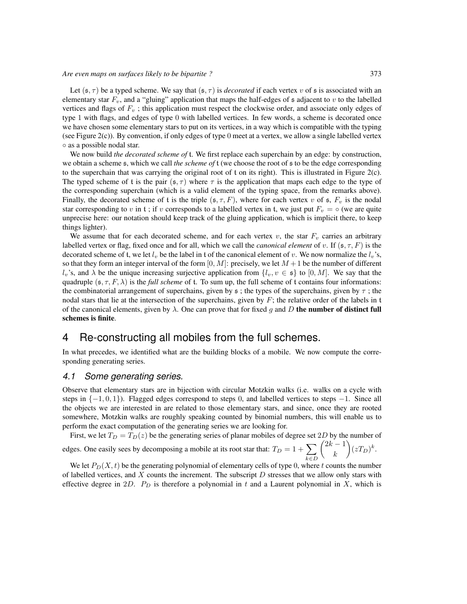Let  $(s, \tau)$  be a typed scheme. We say that  $(s, \tau)$  is *decorated* if each vertex v of s is associated with an elementary star  $F_v$ , and a "gluing" application that maps the half-edges of  $\frak s$  adjacent to  $v$  to the labelled vertices and flags of  $F_v$ ; this application must respect the clockwise order, and associate only edges of type 1 with flags, and edges of type 0 with labelled vertices. In few words, a scheme is decorated once we have chosen some elementary stars to put on its vertices, in a way which is compatible with the typing (see Figure 2(c)). By convention, if only edges of type 0 meet at a vertex, we allow a single labelled vertex ◦ as a possible nodal star.

We now build the decorated scheme of t. We first replace each superchain by an edge: by construction, we obtain a scheme  $\epsilon$ , which we call the scheme of t (we choose the root of  $\epsilon$  to be the edge corresponding to the superchain that was carrying the original root of t on its right). This is illustrated in Figure 2(c). The typed scheme of t is the pair  $(s, \tau)$  where  $\tau$  is the application that maps each edge to the type of the corresponding superchain (which is a valid element of the typing space, from the remarks above). Finally, the decorated scheme of t is the triple  $(\mathfrak{s}, \tau, F)$ , where for each vertex v of  $\mathfrak{s}$ ,  $F_v$  is the nodal star corresponding to v in t; if v corresponds to a labelled vertex in t, we just put  $F_v = \circ$  (we are quite unprecise here: our notation should keep track of the gluing application, which is implicit there, to keep things lighter).

We assume that for each decorated scheme, and for each vertex  $v$ , the star  $F<sub>v</sub>$  carries an arbitrary labelled vertex or flag, fixed once and for all, which we call the *canonical element* of v. If  $(\mathfrak{s}, \tau, F)$  is the decorated scheme of t, we let  $l_v$  be the label in t of the canonical element of v. We now normalize the  $l_v$ 's, so that they form an integer interval of the form  $[0, M]$ : precisely, we let  $M + 1$  be the number of different  $l_v$ 's, and  $\lambda$  be the unique increasing surjective application from  $\{l_v, v \in \mathfrak{s}\}\$  to  $[0, M]$ . We say that the quadruple  $(s, \tau, F, \lambda)$  is the full scheme of t. To sum up, the full scheme of t contains four informations: the combinatorial arrangement of superchains, given by  $\epsilon$ ; the types of the superchains, given by  $\tau$ ; the nodal stars that lie at the intersection of the superchains, given by  $F$ ; the relative order of the labels in  $t$ of the canonical elements, given by  $\lambda$ . One can prove that for fixed g and D the number of distinct full schemes is finite.

### 4 Re-constructing all mobiles from the full schemes.

In what precedes, we identified what are the building blocks of a mobile. We now compute the corresponding generating series.

#### 4.1 Some generating series.

Observe that elementary stars are in bijection with circular Motzkin walks (i.e. walks on a cycle with steps in  $\{-1, 0, 1\}$ ). Flagged edges correspond to steps 0, and labelled vertices to steps  $-1$ . Since all the objects we are interested in are related to those elementary stars, and since, once they are rooted somewhere, Motzkin walks are roughly speaking counted by binomial numbers, this will enable us to perform the exact computation of the generating series we are looking for.

First, we let  $T_D = T_D(z)$  be the generating series of planar mobiles of degree set 2D by the number of edges. One easily sees by decomposing a mobile at its root star that:  $T_D = 1 + \sum$ k∈D  $\sqrt{2k-1}$ k  $(xT_D)^k$ .

We let  $P_D(X, t)$  be the generating polynomial of elementary cells of type 0, where t counts the number of labelled vertices, and  $X$  counts the increment. The subscript  $D$  stresses that we allow only stars with effective degree in 2D.  $P_D$  is therefore a polynomial in t and a Laurent polynomial in X, which is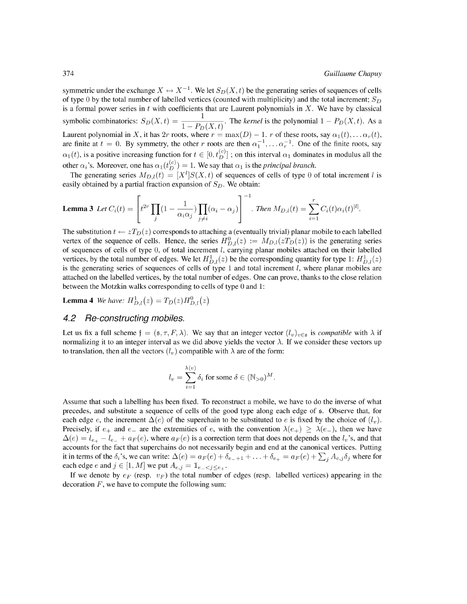symmetric under the exchange  $X \leftrightarrow X^{-1}$ . We let  $S_D(X, t)$  be the generating series of sequences of cells of type 0 by the total number of labelled vertices (counted with multiplicity) and the total increment;  $S_D$ is a formal power series in t with coefficients that are Laurent polynomials in X. We have by classical<br>symbolic combinatorics:  $S_D(X,t) = \frac{1}{1 - P_D(X,t)}$ . The kernel is the polynomial  $1 - P_D(X,t)$ . As a Laurent polynomial in X, it has 2r roots, where  $r = \max(D) - 1$ . r of these roots, say  $\alpha_1(t), \dots \alpha_r(t)$ , are finite at  $t = 0$ . By symmetry, the other r roots are then  $\alpha_1^{-1}, \dots \alpha_r^{-1}$ . One of the finite roots, say  $\alpha_1(t)$ , is a positive increasing function for  $t \in [0, t_D^{(c)}]$ ; on this interval  $\alpha_1$  dominates in modulus all the other  $\alpha_i$ 's. Moreover, one has  $\alpha_1(t_D^{(c)}) = 1$ . We say that  $\alpha_1$  is the *principal branch*.

The generating series  $M_{D,l}(t) = [X^l]S(X,t)$  of sequences of cells of type 0 of total increment l is easily obtained by a partial fraction expansion of  $S_D$ . We obtain:

**Lemma 3** Let 
$$
C_i(t) = \left[ t^{2r} \prod_j (1 - \frac{1}{\alpha_i \alpha_j}) \prod_{j \neq i} (\alpha_i - \alpha_j) \right]^{-1}
$$
. Then  $M_{D,l}(t) = \sum_{i=1}^r C_i(t) \alpha_i(t)^{|l|}$ .

The substitution  $t \leftarrow zT_D(z)$  corresponds to attaching a (eventually trivial) planar mobile to each labelled vertex of the sequence of cells. Hence, the series  $H_{D,l}^0(z) := M_{D,l}(zT_D(z))$  is the generating series of sequences of cells of type  $0$ , of total increment  $l$ , carrying planar mobiles attached on their labelled vertices, by the total number of edges. We let  $H_{D,l}^1(z)$  be the corresponding quantity for type 1:  $H_{D,l}^1(z)$ is the generating series of sequences of cells of type 1 and total increment  $l$ , where planar mobiles are attached on the labelled vertices, by the total number of edges. One can prove, thanks to the close relation between the Motzkin walks corresponding to cells of type 0 and 1:

**Lemma 4** We have:  $H_{D,l}^1(z) = T_D(z)H_{D,l}^0(z)$ 

#### 4.2 Re-constructing mobiles.

Let us fix a full scheme  $\mathfrak{f} = (\mathfrak{s}, \tau, F, \lambda)$ . We say that an integer vector  $(l_v)_{v \in \mathfrak{s}}$  is compatible with  $\lambda$  if normalizing it to an integer interval as we did above yields the vector  $\lambda$ . If we consider these vectors up to translation, then all the vectors  $(l_v)$  compatible with  $\lambda$  are of the form:

$$
l_v = \sum_{i=1}^{\lambda(v)} \delta_i
$$
 for some  $\delta \in (\mathbb{N}_{>0})^M$ .

Assume that such a labelling has been fixed. To reconstruct a mobile, we have to do the inverse of what precedes, and substitute a sequence of cells of the good type along each edge of  $\epsilon$ . Observe that, for each edge e, the increment  $\Delta(e)$  of the superchain to be substituted to e is fixed by the choice of  $(l_v)$ . Precisely, if  $e_+$  and  $e_-$  are the extremities of e, with the convention  $\lambda(e_+) \geq \lambda(e_-)$ , then we have  $\Delta(e) = l_{e_{+}} - l_{e_{-}} + a_F(e)$ , where  $a_F(e)$  is a correction term that does not depends on the  $l_v$ 's, and that accounts for the fact that superchains do not necessarily begin and end at the canonical vertices. Putting it in terms of the  $\delta_i$ 's, we can write:  $\Delta(e) = a_F(e) + \delta_{e-1} + \ldots + \delta_{e+} = a_F(e) + \sum_i A_{e,j} \delta_j$  where for each edge e and  $j \in [1, M]$  we put  $A_{e,j} = \mathbb{1}_{e \leq j \leq e_+}$ .

If we denote by  $e_F$  (resp.  $v_F$ ) the total number of edges (resp. labelled vertices) appearing in the decoration  $F$ , we have to compute the following sum: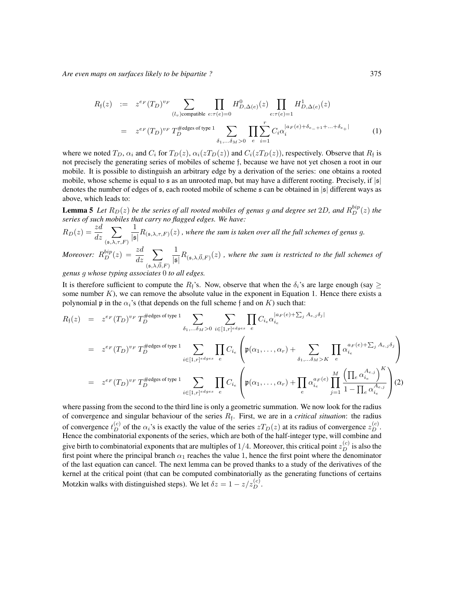$$
R_{\mathfrak{f}}(z) := z^{e_F}(T_D)^{v_F} \sum_{(l_v) \text{compatible } e:\tau(e)=0} H_{D,\Delta(e)}^0(z) \prod_{e:\tau(e)=1} H_{D,\Delta(e)}^1(z)
$$
  

$$
= z^{e_F}(T_D)^{v_F} T_D^{\text{#edges of type 1}} \sum_{\delta_1,\ldots,\delta_M>0} \prod_{e} \sum_{i=1}^r C_i \alpha_i^{|a_F(e)+\delta_{e_-+1}+\ldots+\delta_{e_+}|}
$$
(1)

where we noted  $T_D$ ,  $\alpha_i$  and  $C_i$  for  $T_D(z)$ ,  $\alpha_i(zT_D(z))$  and  $C_i(zT_D(z))$ , respectively. Observe that  $R_f$  is not precisely the generating series of mobiles of scheme f, because we have not yet chosen a root in our mobile. It is possible to distinguish an arbitrary edge by a derivation of the series: one obtains a rooted mobile, whose scheme is equal to  $\mathfrak s$  as an unrooted map, but may have a different rooting. Precisely, if  $|\mathfrak s|$ denotes the number of edges of  $\epsilon$ , each rooted mobile of scheme  $\epsilon$  can be obtained in  $|\epsilon|$  different ways as above, which leads to:

**Lemma 5** Let  $R_D(z)$  be the series of all rooted mobiles of genus g and degree set 2D, and  $R_D^{bip}(z)$  the series of such mobiles that carry no flagged edges. We have:

$$
R_D(z) = \frac{z d}{dz} \sum_{(\mathfrak{s}, \lambda, \tau, F)} \frac{1}{|\mathfrak{s}|} R_{(\mathfrak{s}, \lambda, \tau, F)}(z)
$$
, where the sum is taken over all the full schemes of genus g.  
Moreover:  $R_D^{bip}(z) = \frac{z d}{dz} \sum_{|\mathfrak{s}|} \frac{1}{R_{(\mathfrak{s}, \lambda, \vec{0}, F)}(z)$ , where the sum is restricted to the full schemes

dz  $\sum_{(\mathfrak{s},\lambda,\vec{0},F)} |\mathfrak{s}|$  $R_{(\mathfrak{s},\lambda,\vec{0},F)}(z)$  , where the sum is restricted to the full schemes of

genus g whose typing associates 0 to all edges.

It is therefore sufficient to compute the  $R_f$ 's. Now, observe that when the  $\delta_i$ 's are large enough (say  $\geq$ some number  $K$ ), we can remove the absolute value in the exponent in Equation 1. Hence there exists a polynomial p in the  $\alpha_i$ 's (that depends on the full scheme f and on K) such that:

$$
R_{\mathfrak{f}}(z) = z^{e_F}(T_D)^{v_F} T_D^{\# edges \text{ of type 1}} \sum_{\delta_1, \dots, \delta_M > 0} \sum_{i \in [1, r]^{edges}} \prod_{e} C_{i_e} \alpha_{i_e}^{|a_F(e) + \sum_j A_{e,j} \delta_j|}
$$
  
\n
$$
= z^{e_F}(T_D)^{v_F} T_D^{\# edges \text{ of type 1}} \sum_{i \in [1, r]^{edges}} \prod_{e} C_{i_e} \left( \mathfrak{p}(\alpha_1, \dots, \alpha_r) + \sum_{\delta_1, \dots, \delta_M > K} \prod_{e} \alpha_{i_e}^{a_F(e) + \sum_j A_{e,j} \delta_j} \right)
$$
  
\n
$$
= z^{e_F}(T_D)^{v_F} T_D^{\# edges \text{ of type 1}} \sum_{i \in [1, r]^{edges}} \prod_{e} C_{i_e} \left( \mathfrak{p}(\alpha_1, \dots, \alpha_r) + \prod_{e} \alpha_{i_e}^{a_F(e)} \prod_{j=1}^M \frac{\left( \prod_e \alpha_{i_e}^{A_{e,j}} \right)^K}{1 - \prod_e \alpha_{i_e}^{A_{e,j}}} \right) (2)
$$

where passing from the second to the third line is only a geometric summation. We now look for the radius of convergence and singular behaviour of the series  $R_f$ . First, we are in a *critical situation*: the radius of convergence  $t_D^{(c)}$  of the  $\alpha_i$ 's is exactly the value of the series  $zT_D(z)$  at its radius of convergence  $z_D^{(c)}$ . Hence the combinatorial exponents of the series, which are both of the half-integer type, will combine and give birth to combinatorial exponents that are multiples of  $1/4$ . Moreover, this critical point  $z_D^{(c)}$  is also the first point where the principal branch  $\alpha_1$  reaches the value 1, hence the first point where the denominator of the last equation can cancel. The next lemma can be proved thanks to a study of the derivatives of the kernel at the critical point (that can be computed combinatorially as the generating functions of certains Motzkin walks with distinguished steps). We let  $\delta z = 1 - z/z_D^{(c)}$ .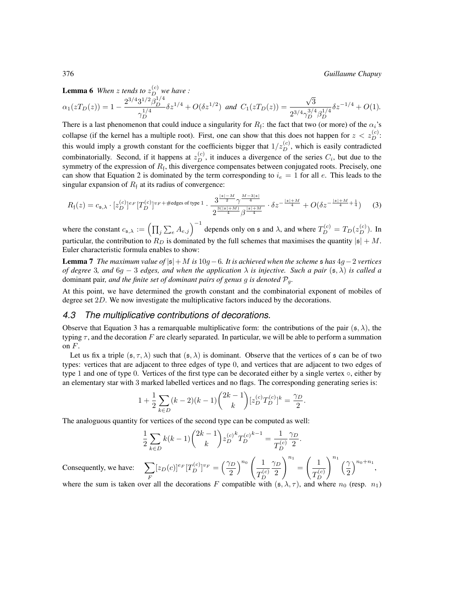376 Guillaume Chapuy

**Lemma 6** When z tends to  $z_D^{(c)}$  we have :

$$
\alpha_1(zT_D(z)) = 1 - \frac{2^{3/4}3^{1/2}\beta_D^{1/4}}{\gamma_D^{1/4}} \delta z^{1/4} + O(\delta z^{1/2}) \text{ and } C_1(zT_D(z)) = \frac{\sqrt{3}}{2^{3/4}\gamma_D^{3/4}\beta_D^{1/4}} \delta z^{-1/4} + O(1).
$$

There is a last phenomenon that could induce a singularity for  $R_f$ : the fact that two (or more) of the  $\alpha_i$ 's collapse (if the kernel has a multiple root). First, one can show that this does not happen for  $z < z_D^{(c)}$ : this would imply a growth constant for the coefficients bigger that  $1/z_D^{(c)}$ , which is easily contradicted combinatorially. Second, if it happens at  $z_D^{(c)}$ , it induces a divergence of the series  $C_i$ , but due to the symmetry of the expression of  $R_f$ , this divergence compensates between conjugated roots. Precisely, one can show that Equation 2 is dominated by the term corresponding to  $i_e = 1$  for all e. This leads to the singular expansion of  $R_f$  at its radius of convergence:

$$
R_{\mathfrak{f}}(z) = c_{\mathfrak{s},\lambda} \cdot [z_D^{(c)}]^{e_F} [T_D^{(c)}]^{v_F + \# \text{edges of type 1}} \cdot \frac{3^{\frac{|\mathfrak{s}| - M}{2}} \gamma^{\frac{M - 3|\mathfrak{s}|}{4}}}{2^{\frac{3(|\mathfrak{s}| + M)}{4}} \beta^{\frac{|\mathfrak{s}| + M}{4}} \cdot \delta z^{-\frac{|\mathfrak{s}| + M}{4}} + O(\delta z^{-\frac{|\mathfrak{s}| + M}{4} + \frac{1}{4}})
$$
(3)

where the constant  $c_{\mathfrak{s},\lambda} := \left(\prod_j \sum_e A_{e,j}\right)^{-1}$  depends only on  $\mathfrak{s}$  and  $\lambda$ , and where  $T_D^{(c)} = T_D(z_D^{(c)})$ . In particular, the contribution to  $R_D$  is dominated by the full schemes that maximises the quantity  $|s| + M$ . Euler characteristic formula enables to show:

**Lemma** 7 The maximum value of  $|s| + M$  is 10g − 6. It is achieved when the scheme  $\frac{1}{2}$  has  $4q - 2$  vertices of degree 3, and 6g – 3 edges, and when the application  $\lambda$  is injective. Such a pair (s,  $\lambda$ ) is called a dominant pair, and the finite set of dominant pairs of genus g is denoted  $P<sub>g</sub>$ .

At this point, we have determined the growth constant and the combinatorial exponent of mobiles of degree set 2D. We now investigate the multiplicative factors induced by the decorations.

#### 4.3 The multiplicative contributions of decorations.

Observe that Equation 3 has a remarquable multiplicative form: the contributions of the pair  $(s, \lambda)$ , the typing  $\tau$ , and the decoration F are clearly separated. In particular, we will be able to perform a summation on  $F$ .

Let us fix a triple  $(s, \tau, \lambda)$  such that  $(s, \lambda)$  is dominant. Observe that the vertices of s can be of two types: vertices that are adjacent to three edges of type 0, and vertices that are adjacent to two edges of type 1 and one of type 0. Vertices of the first type can be decorated either by a single vertex  $\circ$ , either by an elementary star with 3 marked labelled vertices and no flags. The corresponding generating series is:

$$
1 + \frac{1}{2} \sum_{k \in D} (k - 2)(k - 1) \binom{2k - 1}{k} [z_D^{(c)} T_D^{(c)}]^k = \frac{\gamma_D}{2}.
$$

The analoguous quantity for vertices of the second type can be computed as well:

$$
\frac{1}{2} \sum_{k \in D} k(k-1) \binom{2k-1}{k} z_D^{(c)} \frac{k T^{(c)} - 1}{T_D^{(c)}} = \frac{1}{T_D^{(c)}} \frac{\gamma_D}{2}.
$$

Consequently, we have: F  $[z_D(c)]^{e_F} [T_D^{(c)}]^{v_F} = \left(\frac{\gamma_D}{2}\right)$ 2  $\bigwedge^{n_0} \left( \begin{array}{c} 1 \end{array} \right)$  $T_D^{(c)}$  $\gamma_D$ 2  $\setminus^{n_1}$ =  $\begin{pmatrix} 1 \end{pmatrix}$  $T_D^{(c)}$  $\int_{1}^{n_1}$   $(2)$ 2  $a_0+n_1$ ,

where the sum is taken over all the decorations F compatible with  $(\mathfrak{s}, \lambda, \tau)$ , and where  $n_0$  (resp.  $n_1$ )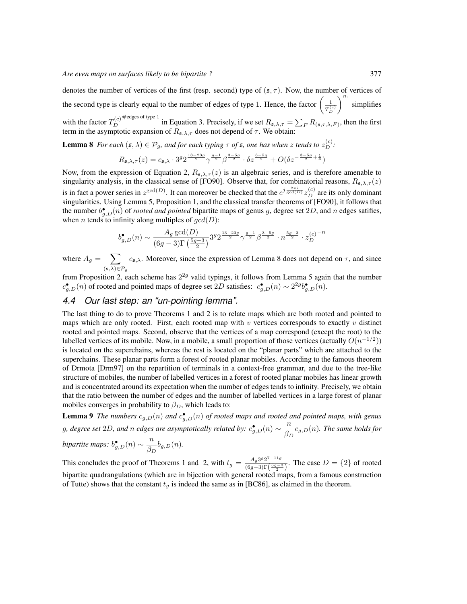denotes the number of vertices of the first (resp. second) type of  $(s, \tau)$ . Now, the number of vertices of the second type is clearly equal to the number of edges of type 1. Hence, the factor  $\left(\frac{1}{T_D^{(c)}}\right)$  $\Big)^{n_1}$  simplifies with the factor  $T_D^{(c)}$ #edges of type 1 in Equation 3. Precisely, if we set  $R_{\mathfrak{s},\lambda,\tau} = \sum_F R_{(\mathfrak{s},\tau,\lambda,F)}$ , then the first term in the asymptotic expansion of  $R_{\mathfrak{s},\lambda,\tau}$  does not depend of  $\tau$ . We obtain:

**Lemma 8** For each  $(\mathfrak{s}, \lambda) \in \mathcal{P}_g$ , and for each typing  $\tau$  of  $\mathfrak{s}$ , one has when  $z$  tends to  $z_D^{(c)}$ :

$$
R_{\mathfrak{s},\lambda,\tau}(z) = c_{\mathfrak{s},\lambda} \cdot 3^g 2^{\frac{13-23g}{2}} \gamma^{\frac{g-1}{2}} \beta^{\frac{3-5g}{2}} \cdot \delta z^{\frac{3-5g}{2}} + O(\delta z^{-\frac{3-5g}{2} + \frac{1}{4}})
$$

Now, from the expression of Equation 2,  $R_{s,\lambda,\tau}(z)$  is an algebraic series, and is therefore amenable to singularity analysis, in the classical sense of [FO90]. Observe that, for combinatorial reasons,  $R_{s,\lambda,\tau}(z)$ is in fact a power series in  $z^{\gcd(D)}$ . It can moreover be checked that the  $e^{j\frac{2\pi i}{\gcd(D)}}z_D^{(c)}$  are its only dominant singularities. Using Lemma 5, Proposition 1, and the classical transfer theorems of [FO90], it follows that the number  $b_{g,D}^{\bullet}(n)$  of *rooted and pointed* bipartite maps of genus g, degree set 2D, and n edges satifies, when *n* tends to infinity along multiples of  $gcd(D)$ :

$$
b_{g,D}^{\bullet}(n) \sim \frac{A_g \gcd(D)}{(6g-3)\Gamma(\frac{5g-3}{2})} 3^g 2^{\frac{13-23g}{2}} \gamma^{\frac{g-1}{2}} \beta^{\frac{3-5g}{2}} \cdot n^{\frac{5g-3}{2}} \cdot z_D^{(c)}^{-n}
$$

where  $A_g = \sum$  $(\mathfrak{s},\lambda){\in}\mathcal{P}_g$  $c_{\mathfrak{s},\lambda}$ . Moreover, since the expression of Lemma 8 does not depend on  $\tau$ , and since

from Proposition 2, each scheme has  $2^{2g}$  valid typings, it follows from Lemma 5 again that the number  $c_{g,D}^{\bullet}(n)$  of rooted and pointed maps of degree set 2D satisfies:  $c_{g,D}^{\bullet}(n) \sim 2^{2g} b_{g,D}^{\bullet}(n)$ .

### 4.4 Our last step: an "un-pointing lemma".

The last thing to do to prove Theorems 1 and 2 is to relate maps which are both rooted and pointed to maps which are only rooted. First, each rooted map with  $v$  vertices corresponds to exactly  $v$  distinct rooted and pointed maps. Second, observe that the vertices of a map correspond (except the root) to the labelled vertices of its mobile. Now, in a mobile, a small proportion of those vertices (actually  $O(n^{-1/2})$ ) is located on the superchains, whereas the rest is located on the "planar parts" which are attached to the superchains. These planar parts form a forest of rooted planar mobiles. According to the famous theorem of Drmota [Drm97] on the repartition of terminals in a context-free grammar, and due to the tree-like structure of mobiles, the number of labelled vertices in a forest of rooted planar mobiles has linear growth and is concentrated around its expectation when the number of edges tends to infinity. Precisely, we obtain that the ratio between the number of edges and the number of labelled vertices in a large forest of planar mobiles converges in probability to  $\beta_D$ , which leads to:

**Lemma 9** The numbers  $c_{g,D}(n)$  and  $c_{g,D}^{\bullet}(n)$  of rooted maps and rooted and pointed maps, with genus g, degree set 2D, and n edges are asymptotically related by:  $c_{g,D}^{\bullet}(n) \sim \frac{n}{\beta_D} c_{g,D}(n)$ . The same holds for bipartite maps:  $b_{g,D}^{\bullet}(n) \sim \frac{n}{\beta_D} b_{g,D}(n)$ .

This concludes the proof of Theorems 1 and 2, with  $t_g = \frac{A_g 3^g 2^{7-11g}}{(6g-3)\Gamma(\frac{5g-3}{2})}$ . The case  $D = \{2\}$  of rooted bipartite quadrangulations (which are in bijection with general rooted maps, from a famous construction of Tutte) shows that the constant  $t_q$  is indeed the same as in [BC86], as claimed in the theorem.